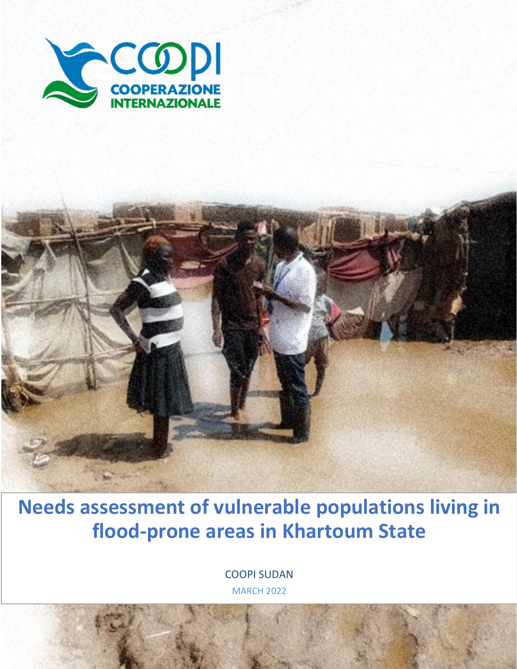

**Needs assessment of vulnerable populations living in flood-prone areas in Khartoum State**

> COOPI SUDAN MARCH 2022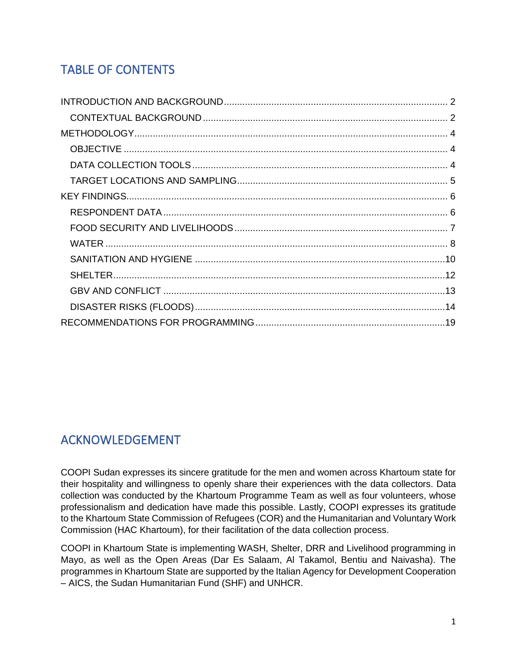# TABLE OF CONTENTS

# ACKNOWLEDGEMENT

COOPI Sudan expresses its sincere gratitude for the men and women across Khartoum state for their hospitality and willingness to openly share their experiences with the data collectors. Data collection was conducted by the Khartoum Programme Team as well as four volunteers, whose professionalism and dedication have made this possible. Lastly, COOPI expresses its gratitude to the Khartoum State Commission of Refugees (COR) and the Humanitarian and Voluntary Work Commission (HAC Khartoum), for their facilitation of the data collection process.

COOPI in Khartoum State is implementing WASH, Shelter, DRR and Livelihood programming in Mayo, as well as the Open Areas (Dar Es Salaam, Al Takamol, Bentiu and Naivasha). The programmes in Khartoum State are supported by the Italian Agency for Development Cooperation – AICS, the Sudan Humanitarian Fund (SHF) and UNHCR.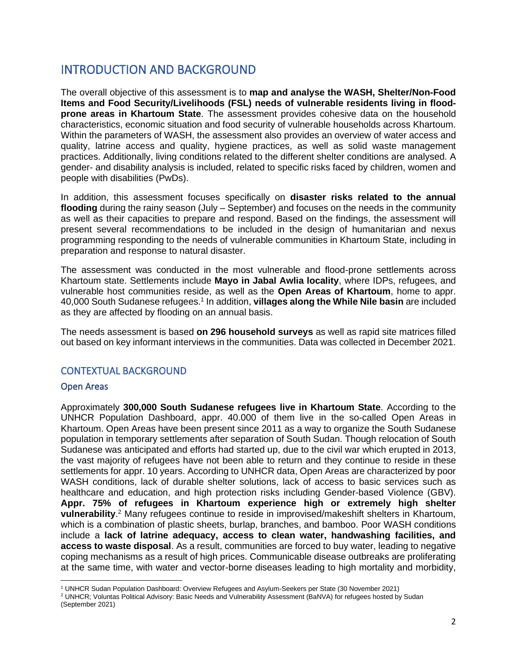# <span id="page-2-0"></span>INTRODUCTION AND BACKGROUND

The overall objective of this assessment is to **map and analyse the WASH, Shelter/Non-Food Items and Food Security/Livelihoods (FSL) needs of vulnerable residents living in floodprone areas in Khartoum State**. The assessment provides cohesive data on the household characteristics, economic situation and food security of vulnerable households across Khartoum. Within the parameters of WASH, the assessment also provides an overview of water access and quality, latrine access and quality, hygiene practices, as well as solid waste management practices. Additionally, living conditions related to the different shelter conditions are analysed. A gender- and disability analysis is included, related to specific risks faced by children, women and people with disabilities (PwDs).

In addition, this assessment focuses specifically on **disaster risks related to the annual flooding** during the rainy season (July – September) and focuses on the needs in the community as well as their capacities to prepare and respond. Based on the findings, the assessment will present several recommendations to be included in the design of humanitarian and nexus programming responding to the needs of vulnerable communities in Khartoum State, including in preparation and response to natural disaster.

The assessment was conducted in the most vulnerable and flood-prone settlements across Khartoum state. Settlements include **Mayo in Jabal Awlia locality**, where IDPs, refugees, and vulnerable host communities reside, as well as the **Open Areas of Khartoum**, home to appr. 40,000 South Sudanese refugees.<sup>1</sup> In addition, **villages along the While Nile basin** are included as they are affected by flooding on an annual basis.

The needs assessment is based **on 296 household surveys** as well as rapid site matrices filled out based on key informant interviews in the communities. Data was collected in December 2021.

# <span id="page-2-1"></span>CONTEXTUAL BACKGROUND

#### Open Areas

Approximately **300,000 South Sudanese refugees live in Khartoum State**. According to the UNHCR Population Dashboard, appr. 40.000 of them live in the so-called Open Areas in Khartoum. Open Areas have been present since 2011 as a way to organize the South Sudanese population in temporary settlements after separation of South Sudan. Though relocation of South Sudanese was anticipated and efforts had started up, due to the civil war which erupted in 2013, the vast majority of refugees have not been able to return and they continue to reside in these settlements for appr. 10 years. According to UNHCR data, Open Areas are characterized by poor WASH conditions, lack of durable shelter solutions, lack of access to basic services such as healthcare and education, and high protection risks including Gender-based Violence (GBV). **Appr. 75% of refugees in Khartoum experience high or extremely high shelter vulnerability**. <sup>2</sup> Many refugees continue to reside in improvised/makeshift shelters in Khartoum, which is a combination of plastic sheets, burlap, branches, and bamboo. Poor WASH conditions include a **lack of latrine adequacy, access to clean water, handwashing facilities, and access to waste disposal**. As a result, communities are forced to buy water, leading to negative coping mechanisms as a result of high prices. Communicable disease outbreaks are proliferating at the same time, with water and vector-borne diseases leading to high mortality and morbidity,

<sup>1</sup> UNHCR Sudan Population Dashboard: Overview Refugees and Asylum-Seekers per State (30 November 2021)

<sup>2</sup> UNHCR; Voluntas Political Advisory: Basic Needs and Vulnerability Assessment (BaNVA) for refugees hosted by Sudan (September 2021)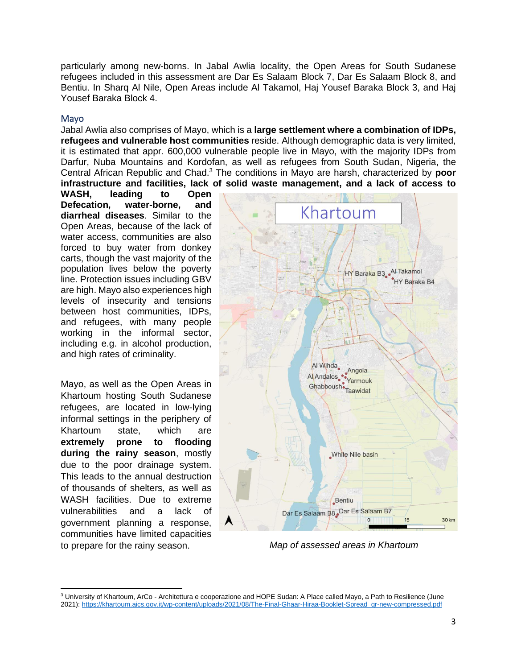particularly among new-borns. In Jabal Awlia locality, the Open Areas for South Sudanese refugees included in this assessment are Dar Es Salaam Block 7, Dar Es Salaam Block 8, and Bentiu. In Sharq Al Nile, Open Areas include Al Takamol, Haj Yousef Baraka Block 3, and Haj Yousef Baraka Block 4.

#### Mayo

Jabal Awlia also comprises of Mayo, which is a **large settlement where a combination of IDPs, refugees and vulnerable host communities** reside. Although demographic data is very limited, it is estimated that appr. 600,000 vulnerable people live in Mayo, with the majority IDPs from Darfur, Nuba Mountains and Kordofan, as well as refugees from South Sudan, Nigeria, the Central African Republic and Chad. <sup>3</sup> The conditions in Mayo are harsh, characterized by **poor infrastructure and facilities, lack of solid waste management, and a lack of access to** 

**WASH, leading to Open Defecation, water-borne, and diarrheal diseases**. Similar to the Open Areas, because of the lack of water access, communities are also forced to buy water from donkey carts, though the vast majority of the population lives below the poverty line. Protection issues including GBV are high. Mayo also experiences high levels of insecurity and tensions between host communities, IDPs, and refugees, with many people working in the informal sector, including e.g. in alcohol production, and high rates of criminality.

Mayo, as well as the Open Areas in Khartoum hosting South Sudanese refugees, are located in low-lying informal settings in the periphery of Khartoum state, which are **extremely prone to flooding during the rainy season**, mostly due to the poor drainage system. This leads to the annual destruction of thousands of shelters, as well as WASH facilities. Due to extreme vulnerabilities and a lack of government planning a response, communities have limited capacities to prepare for the rainy season.



*Map of assessed areas in Khartoum*

<sup>&</sup>lt;sup>3</sup> University of Khartoum, ArCo - Architettura e cooperazione and HOPE Sudan: A Place called Mayo, a Path to Resilience (June 2021): [https://khartoum.aics.gov.it/wp-content/uploads/2021/08/The-Final-Ghaar-Hiraa-Booklet-Spread\\_qr-new-compressed.pdf](https://khartoum.aics.gov.it/wp-content/uploads/2021/08/The-Final-Ghaar-Hiraa-Booklet-Spread_qr-new-compressed.pdf)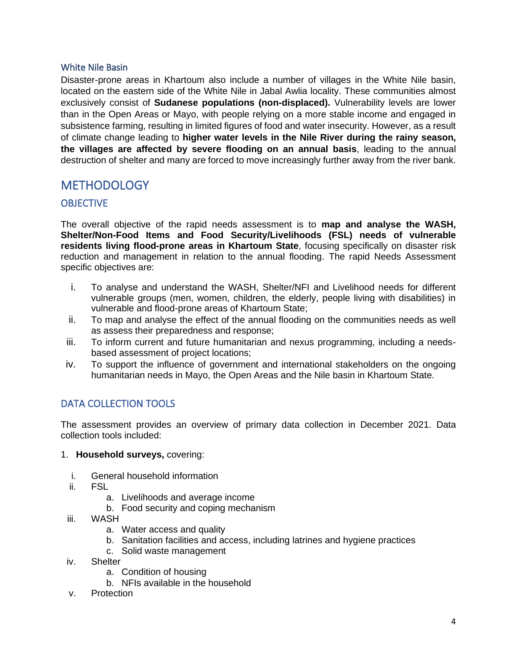### White Nile Basin

Disaster-prone areas in Khartoum also include a number of villages in the White Nile basin, located on the eastern side of the White Nile in Jabal Awlia locality. These communities almost exclusively consist of **Sudanese populations (non-displaced).** Vulnerability levels are lower than in the Open Areas or Mayo, with people relying on a more stable income and engaged in subsistence farming, resulting in limited figures of food and water insecurity. However, as a result of climate change leading to **higher water levels in the Nile River during the rainy season, the villages are affected by severe flooding on an annual basis**, leading to the annual destruction of shelter and many are forced to move increasingly further away from the river bank.

# <span id="page-4-0"></span>**METHODOLOGY**

# <span id="page-4-1"></span>**OBJECTIVE**

The overall objective of the rapid needs assessment is to **map and analyse the WASH, Shelter/Non-Food Items and Food Security/Livelihoods (FSL) needs of vulnerable residents living flood-prone areas in Khartoum State**, focusing specifically on disaster risk reduction and management in relation to the annual flooding. The rapid Needs Assessment specific objectives are:

- i. To analyse and understand the WASH, Shelter/NFI and Livelihood needs for different vulnerable groups (men, women, children, the elderly, people living with disabilities) in vulnerable and flood-prone areas of Khartoum State;
- ii. To map and analyse the effect of the annual flooding on the communities needs as well as assess their preparedness and response;
- iii. To inform current and future humanitarian and nexus programming, including a needsbased assessment of project locations;
- iv. To support the influence of government and international stakeholders on the ongoing humanitarian needs in Mayo, the Open Areas and the Nile basin in Khartoum State.

# <span id="page-4-2"></span>DATA COLLECTION TOOLS

The assessment provides an overview of primary data collection in December 2021. Data collection tools included:

- 1. **Household surveys,** covering:
	- i. General household information
	- ii. FSL
		- a. Livelihoods and average income
		- b. Food security and coping mechanism
	- iii. WASH
		- a. Water access and quality
		- b. Sanitation facilities and access, including latrines and hygiene practices
		- c. Solid waste management
- iv. Shelter
	- a. Condition of housing
	- b. NFIs available in the household
- v. Protection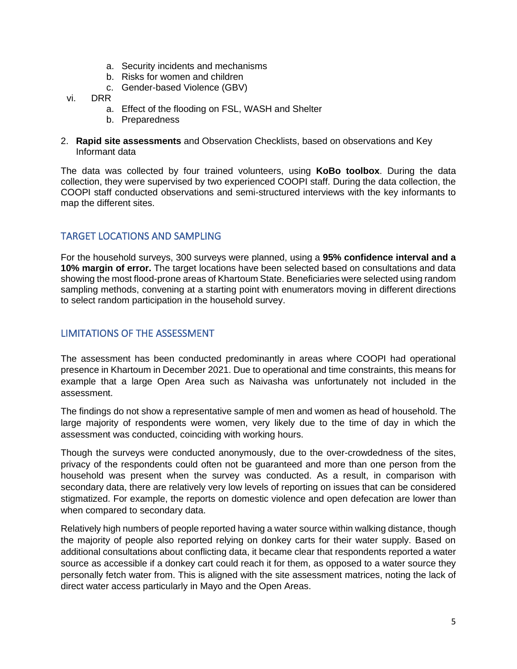- a. Security incidents and mechanisms
- b. Risks for women and children
- c. Gender-based Violence (GBV)
- vi. DRR
	- a. Effect of the flooding on FSL, WASH and Shelter
	- b. Preparedness
- 2. **Rapid site assessments** and Observation Checklists, based on observations and Key Informant data

The data was collected by four trained volunteers, using **KoBo toolbox**. During the data collection, they were supervised by two experienced COOPI staff. During the data collection, the COOPI staff conducted observations and semi-structured interviews with the key informants to map the different sites.

# <span id="page-5-0"></span>TARGET LOCATIONS AND SAMPLING

For the household surveys, 300 surveys were planned, using a **95% confidence interval and a 10% margin of error.** The target locations have been selected based on consultations and data showing the most flood-prone areas of Khartoum State. Beneficiaries were selected using random sampling methods, convening at a starting point with enumerators moving in different directions to select random participation in the household survey.

# LIMITATIONS OF THE ASSESSMENT

The assessment has been conducted predominantly in areas where COOPI had operational presence in Khartoum in December 2021. Due to operational and time constraints, this means for example that a large Open Area such as Naivasha was unfortunately not included in the assessment.

The findings do not show a representative sample of men and women as head of household. The large majority of respondents were women, very likely due to the time of day in which the assessment was conducted, coinciding with working hours.

Though the surveys were conducted anonymously, due to the over-crowdedness of the sites, privacy of the respondents could often not be guaranteed and more than one person from the household was present when the survey was conducted. As a result, in comparison with secondary data, there are relatively very low levels of reporting on issues that can be considered stigmatized. For example, the reports on domestic violence and open defecation are lower than when compared to secondary data.

Relatively high numbers of people reported having a water source within walking distance, though the majority of people also reported relying on donkey carts for their water supply. Based on additional consultations about conflicting data, it became clear that respondents reported a water source as accessible if a donkey cart could reach it for them, as opposed to a water source they personally fetch water from. This is aligned with the site assessment matrices, noting the lack of direct water access particularly in Mayo and the Open Areas.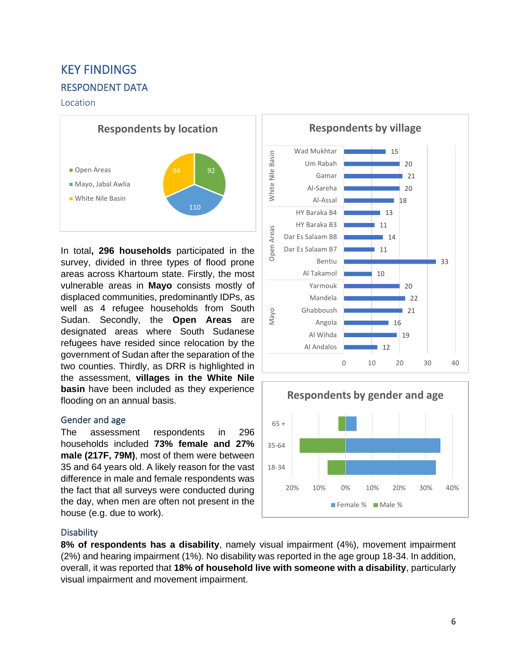# <span id="page-6-1"></span><span id="page-6-0"></span>KEY FINDINGS RESPONDENT DATA

#### Location



In total**, 296 households** participated in the survey, divided in three types of flood prone areas across Khartoum state. Firstly, the most vulnerable areas in **Mayo** consists mostly of displaced communities, predominantly IDPs, as well as 4 refugee households from South Sudan. Secondly, the **Open Areas** are designated areas where South Sudanese refugees have resided since relocation by the government of Sudan after the separation of the two counties. Thirdly, as DRR is highlighted in the assessment, **villages in the White Nile basin** have been included as they experience flooding on an annual basis.

## Gender and age

The assessment respondents in 296 households included **73% female and 27% male (217F, 79M)**, most of them were between 35 and 64 years old. A likely reason for the vast difference in male and female respondents was the fact that all surveys were conducted during the day, when men are often not present in the house (e.g. due to work).

## **Disability**

**8% of respondents has a disability**, namely visual impairment (4%), movement impairment (2%) and hearing impairment (1%). No disability was reported in the age group 18-34. In addition, overall, it was reported that **18% of household live with someone with a disability**, particularly visual impairment and movement impairment.



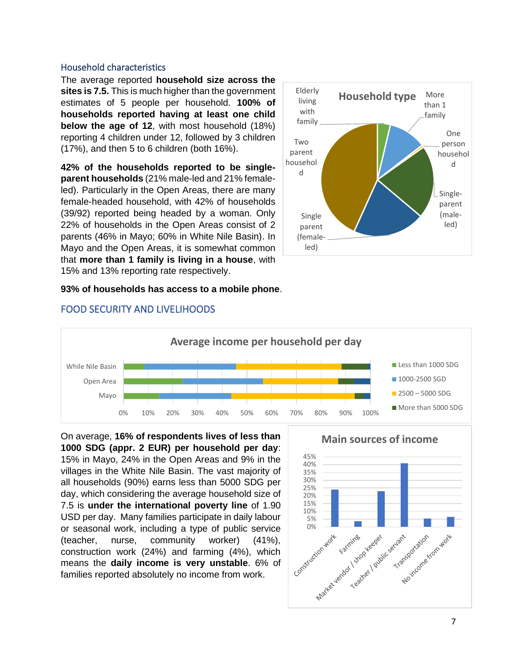#### Household characteristics

The average reported **household size across the sites is 7.5.** This is much higher than the government estimates of 5 people per household. **100% of households reported having at least one child below the age of 12**, with most household (18%) reporting 4 children under 12, followed by 3 children (17%), and then 5 to 6 children (both 16%).

**42% of the households reported to be singleparent households** (21% male-led and 21% femaleled). Particularly in the Open Areas, there are many female-headed household, with 42% of households (39/92) reported being headed by a woman. Only 22% of households in the Open Areas consist of 2 parents (46% in Mayo; 60% in White Nile Basin). In Mayo and the Open Areas, it is somewhat common that **more than 1 family is living in a house**, with 15% and 13% reporting rate respectively.



#### **93% of households has access to a mobile phone**.



## <span id="page-7-0"></span>FOOD SECURITY AND LIVELIHOODS

On average, **16% of respondents lives of less than 1000 SDG (appr. 2 EUR) per household per day**: 15% in Mayo, 24% in the Open Areas and 9% in the villages in the White Nile Basin. The vast majority of all households (90%) earns less than 5000 SDG per day, which considering the average household size of 7.5 is **under the international poverty line** of 1.90 USD per day. Many families participate in daily labour or seasonal work, including a type of public service (teacher, nurse, community worker) (41%), construction work (24%) and farming (4%), which means the **daily income is very unstable**. 6% of families reported absolutely no income from work.

**Main sources of income**

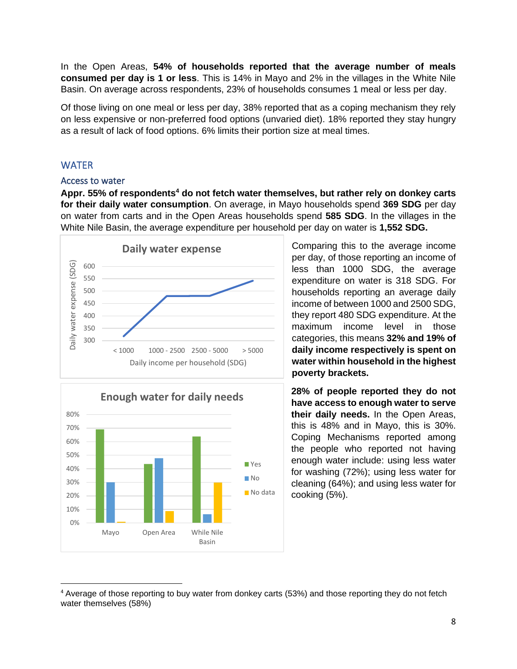In the Open Areas, **54% of households reported that the average number of meals consumed per day is 1 or less**. This is 14% in Mayo and 2% in the villages in the White Nile Basin. On average across respondents, 23% of households consumes 1 meal or less per day.

Of those living on one meal or less per day, 38% reported that as a coping mechanism they rely on less expensive or non-preferred food options (unvaried diet). 18% reported they stay hungry as a result of lack of food options. 6% limits their portion size at meal times.

# <span id="page-8-0"></span>**WATER**

#### Access to water

**Appr. 55% of respondents<sup>4</sup> do not fetch water themselves, but rather rely on donkey carts for their daily water consumption**. On average, in Mayo households spend **369 SDG** per day on water from carts and in the Open Areas households spend **585 SDG**. In the villages in the White Nile Basin, the average expenditure per household per day on water is **1,552 SDG.**





Comparing this to the average income per day, of those reporting an income of less than 1000 SDG, the average expenditure on water is 318 SDG. For households reporting an average daily income of between 1000 and 2500 SDG, they report 480 SDG expenditure. At the maximum income level in those categories, this means **32% and 19% of daily income respectively is spent on water within household in the highest poverty brackets.**

**28% of people reported they do not have access to enough water to serve their daily needs.** In the Open Areas, this is 48% and in Mayo, this is 30%. Coping Mechanisms reported among the people who reported not having enough water include: using less water for washing (72%); using less water for cleaning (64%); and using less water for cooking (5%).

<sup>4</sup> Average of those reporting to buy water from donkey carts (53%) and those reporting they do not fetch water themselves (58%)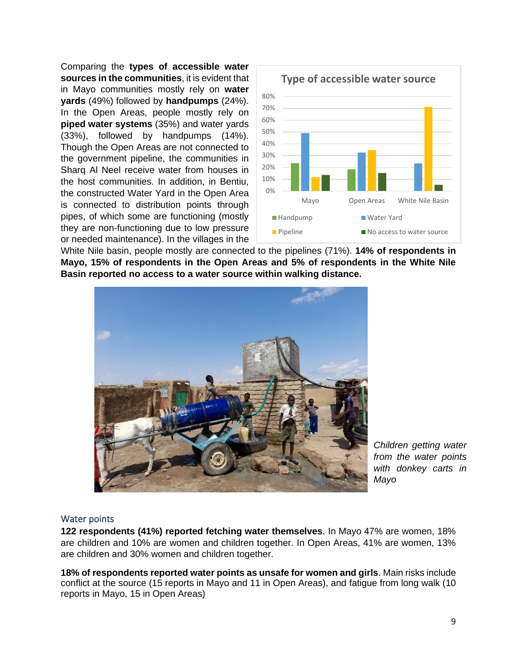Comparing the **types of accessible water sources in the communities**, it is evident that in Mayo communities mostly rely on **water yards** (49%) followed by **handpumps** (24%). In the Open Areas, people mostly rely on **piped water systems** (35%) and water yards (33%), followed by handpumps (14%). Though the Open Areas are not connected to the government pipeline, the communities in Sharq Al Neel receive water from houses in the host communities. In addition, in Bentiu, the constructed Water Yard in the Open Area is connected to distribution points through pipes, of which some are functioning (mostly they are non-functioning due to low pressure or needed maintenance). In the villages in the



White Nile basin, people mostly are connected to the pipelines (71%). **14% of respondents in Mayo, 15% of respondents in the Open Areas and 5% of respondents in the White Nile Basin reported no access to a water source within walking distance.** 



*Children getting water from the water points with donkey carts in Mayo*

#### Water points

**122 respondents (41%) reported fetching water themselves**. In Mayo 47% are women, 18% are children and 10% are women and children together. In Open Areas, 41% are women, 13% are children and 30% women and children together.

**18% of respondents reported water points as unsafe for women and girls**. Main risks include conflict at the source (15 reports in Mayo and 11 in Open Areas), and fatigue from long walk (10 reports in Mayo, 15 in Open Areas)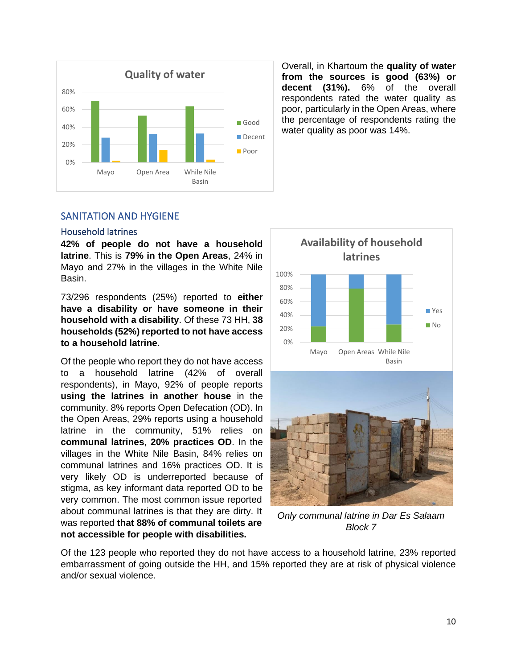

Overall, in Khartoum the **quality of water from the sources is good (63%) or decent (31%).** 6% of the overall respondents rated the water quality as poor, particularly in the Open Areas, where the percentage of respondents rating the water quality as poor was 14%.

## <span id="page-10-0"></span>SANITATION AND HYGIENE

#### Household latrines

**42% of people do not have a household latrine**. This is **79% in the Open Areas**, 24% in Mayo and 27% in the villages in the White Nile Basin.

73/296 respondents (25%) reported to **either have a disability or have someone in their household with a disability**. Of these 73 HH, **38 households (52%) reported to not have access to a household latrine.** 

Of the people who report they do not have access to a household latrine (42% of overall respondents), in Mayo, 92% of people reports **using the latrines in another house** in the community. 8% reports Open Defecation (OD). In the Open Areas, 29% reports using a household latrine in the community, 51% relies on **communal latrines**, **20% practices OD**. In the villages in the White Nile Basin, 84% relies on communal latrines and 16% practices OD. It is very likely OD is underreported because of stigma, as key informant data reported OD to be very common. The most common issue reported about communal latrines is that they are dirty. It was reported **that 88% of communal toilets are not accessible for people with disabilities.**



*Only communal latrine in Dar Es Salaam Block 7*

Of the 123 people who reported they do not have access to a household latrine, 23% reported embarrassment of going outside the HH, and 15% reported they are at risk of physical violence and/or sexual violence.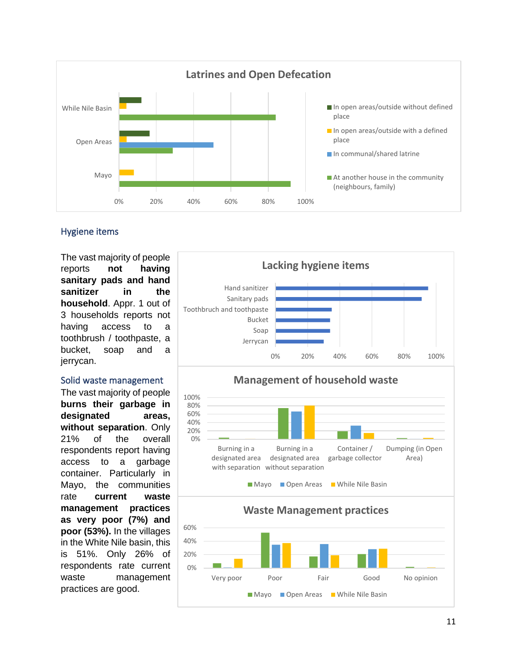

# Hygiene items

The vast majority of people reports **not having sanitary pads and hand sanitizer in the household**. Appr. 1 out of 3 households reports not having access to a toothbrush / toothpaste, a bucket, soap and a jerrycan.

#### Solid waste management

The vast majority of people **burns their garbage in designated areas, without separation**. Only 21% of the overall respondents report having access to a garbage container. Particularly in Mayo, the communities rate **current waste management practices as very poor (7%) and poor (53%).** In the villages in the White Nile basin, this is 51%. Only 26% of respondents rate current waste management practices are good.

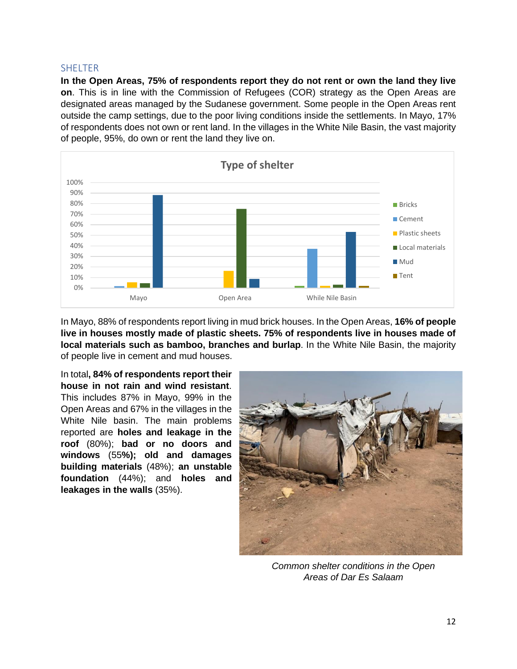#### <span id="page-12-0"></span>**SHELTER**

**In the Open Areas, 75% of respondents report they do not rent or own the land they live on**. This is in line with the Commission of Refugees (COR) strategy as the Open Areas are designated areas managed by the Sudanese government. Some people in the Open Areas rent outside the camp settings, due to the poor living conditions inside the settlements. In Mayo, 17% of respondents does not own or rent land. In the villages in the White Nile Basin, the vast majority of people, 95%, do own or rent the land they live on.



In Mayo, 88% of respondents report living in mud brick houses. In the Open Areas, **16% of people live in houses mostly made of plastic sheets. 75% of respondents live in houses made of local materials such as bamboo, branches and burlap**. In the White Nile Basin, the majority of people live in cement and mud houses.

In total**, 84% of respondents report their house in not rain and wind resistant**. This includes 87% in Mayo, 99% in the Open Areas and 67% in the villages in the White Nile basin. The main problems reported are **holes and leakage in the roof** (80%); **bad or no doors and windows** (55**%); old and damages building materials** (48%); **an unstable foundation** (44%); and **holes and leakages in the walls** (35%).



*Common shelter conditions in the Open Areas of Dar Es Salaam*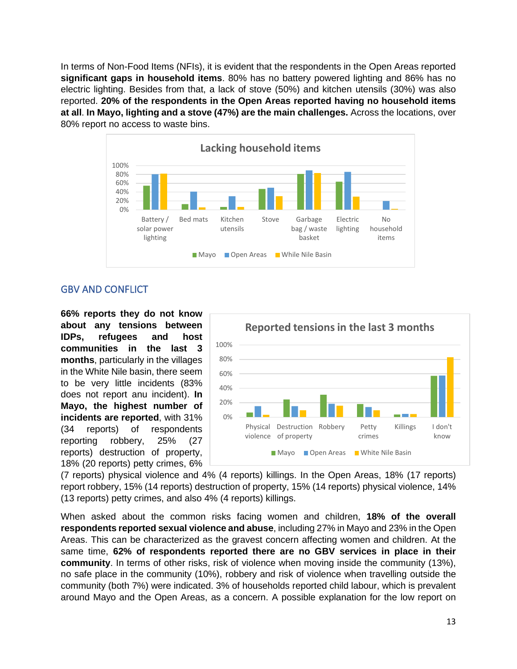In terms of Non-Food Items (NFIs), it is evident that the respondents in the Open Areas reported **significant gaps in household items**. 80% has no battery powered lighting and 86% has no electric lighting. Besides from that, a lack of stove (50%) and kitchen utensils (30%) was also reported. **20% of the respondents in the Open Areas reported having no household items at all**. **In Mayo, lighting and a stove (47%) are the main challenges.** Across the locations, over 80% report no access to waste bins.

<span id="page-13-0"></span>

# GBV AND CONFLICT

**66% reports they do not know about any tensions between IDPs, refugees and host communities in the last 3 months**, particularly in the villages in the White Nile basin, there seem to be very little incidents (83% does not report anu incident). **In Mayo, the highest number of incidents are reported**, with 31% (34 reports) of respondents reporting robbery, 25% (27 reports) destruction of property, 18% (20 reports) petty crimes, 6%



(7 reports) physical violence and 4% (4 reports) killings. In the Open Areas, 18% (17 reports) report robbery, 15% (14 reports) destruction of property, 15% (14 reports) physical violence, 14% (13 reports) petty crimes, and also 4% (4 reports) killings.

When asked about the common risks facing women and children, **18% of the overall respondents reported sexual violence and abuse**, including 27% in Mayo and 23% in the Open Areas. This can be characterized as the gravest concern affecting women and children. At the same time, **62% of respondents reported there are no GBV services in place in their community**. In terms of other risks, risk of violence when moving inside the community (13%), no safe place in the community (10%), robbery and risk of violence when travelling outside the community (both 7%) were indicated. 3% of households reported child labour, which is prevalent around Mayo and the Open Areas, as a concern. A possible explanation for the low report on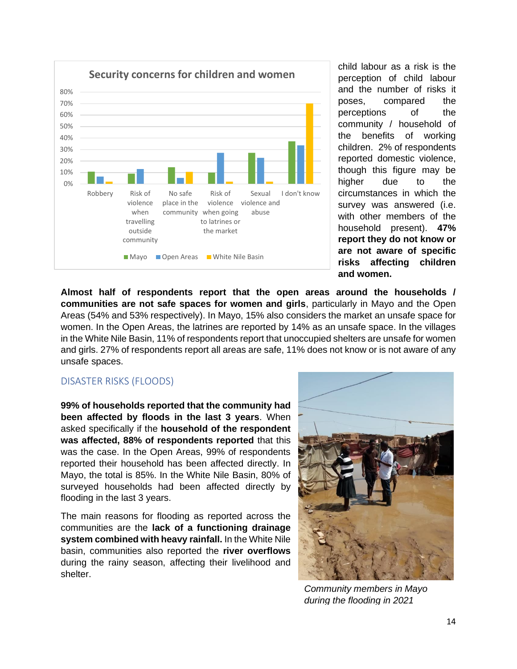

child labour as a risk is the perception of child labour and the number of risks it poses, compared the perceptions of the community / household of the benefits of working children. 2% of respondents reported domestic violence, though this figure may be higher due to the circumstances in which the survey was answered (i.e. with other members of the household present). **47% report they do not know or are not aware of specific risks affecting children and women.** 

**Almost half of respondents report that the open areas around the households / communities are not safe spaces for women and girls**, particularly in Mayo and the Open Areas (54% and 53% respectively). In Mayo, 15% also considers the market an unsafe space for women. In the Open Areas, the latrines are reported by 14% as an unsafe space. In the villages in the White Nile Basin, 11% of respondents report that unoccupied shelters are unsafe for women and girls. 27% of respondents report all areas are safe, 11% does not know or is not aware of any unsafe spaces.

## <span id="page-14-0"></span>DISASTER RISKS (FLOODS)

**99% of households reported that the community had been affected by floods in the last 3 years**. When asked specifically if the **household of the respondent was affected, 88% of respondents reported** that this was the case. In the Open Areas, 99% of respondents reported their household has been affected directly. In Mayo, the total is 85%. In the White Nile Basin, 80% of surveyed households had been affected directly by flooding in the last 3 years.

The main reasons for flooding as reported across the communities are the **lack of a functioning drainage system combined with heavy rainfall.** In the White Nile basin, communities also reported the **river overflows** during the rainy season, affecting their livelihood and shelter.



*Community members in Mayo during the flooding in 2021*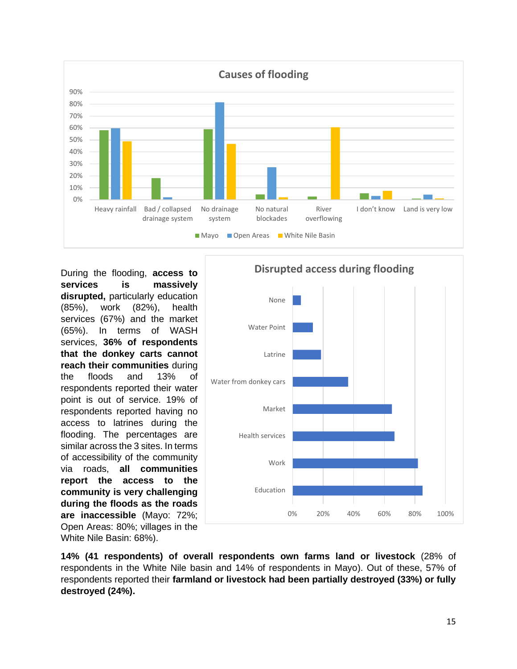

During the flooding, **access to services is massively disrupted,** particularly education (85%), work (82%), health services (67%) and the market (65%). In terms of WASH services, **36% of respondents that the donkey carts cannot reach their communities** during the floods and 13% of respondents reported their water point is out of service. 19% of respondents reported having no access to latrines during the flooding. The percentages are similar across the 3 sites. In terms of accessibility of the community via roads, **all communities report the access to the community is very challenging during the floods as the roads are inaccessible** (Mayo: 72%; Open Areas: 80%; villages in the White Nile Basin: 68%).



**14% (41 respondents) of overall respondents own farms land or livestock** (28% of respondents in the White Nile basin and 14% of respondents in Mayo). Out of these, 57% of respondents reported their **farmland or livestock had been partially destroyed (33%) or fully destroyed (24%).**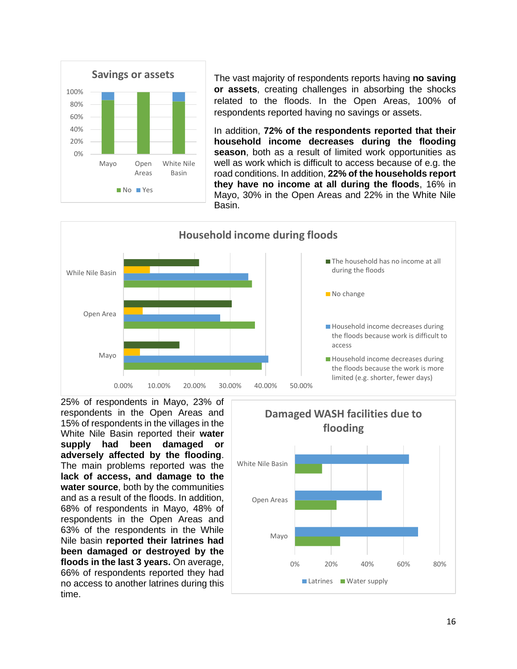

The vast majority of respondents reports having **no saving or assets**, creating challenges in absorbing the shocks related to the floods. In the Open Areas, 100% of respondents reported having no savings or assets.

In addition, **72% of the respondents reported that their household income decreases during the flooding season**, both as a result of limited work opportunities as well as work which is difficult to access because of e.g. the road conditions. In addition, **22% of the households report they have no income at all during the floods**, 16% in Mayo, 30% in the Open Areas and 22% in the White Nile Basin.



25% of respondents in Mayo, 23% of respondents in the Open Areas and 15% of respondents in the villages in the White Nile Basin reported their **water supply had been damaged or adversely affected by the flooding**. The main problems reported was the **lack of access, and damage to the water source**, both by the communities and as a result of the floods. In addition, 68% of respondents in Mayo, 48% of respondents in the Open Areas and 63% of the respondents in the While Nile basin **reported their latrines had been damaged or destroyed by the floods in the last 3 years.** On average, 66% of respondents reported they had no access to another latrines during this time.

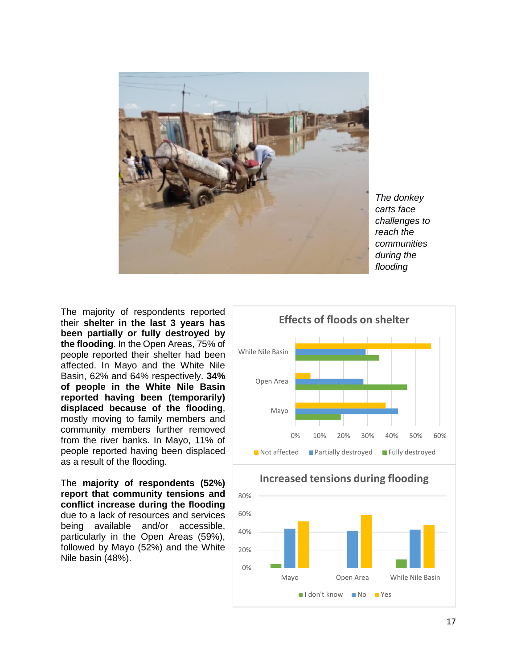

*The donkey carts face challenges to reach the communities during the flooding*

The majority of respondents reported their **shelter in the last 3 years has been partially or fully destroyed by the flooding**. In the Open Areas, 75% of people reported their shelter had been affected. In Mayo and the White Nile Basin, 62% and 64% respectively. **34% of people in the White Nile Basin reported having been (temporarily) displaced because of the flooding**, mostly moving to family members and community members further removed from the river banks. In Mayo, 11% of people reported having been displaced as a result of the flooding.

The **majority of respondents (52%) report that community tensions and conflict increase during the flooding** due to a lack of resources and services being available and/or accessible, particularly in the Open Areas (59%), followed by Mayo (52%) and the White Nile basin (48%).





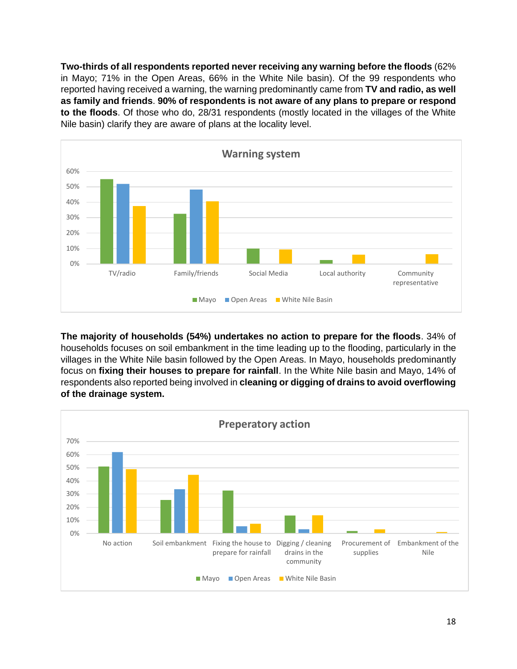**Two-thirds of all respondents reported never receiving any warning before the floods** (62% in Mayo; 71% in the Open Areas, 66% in the White Nile basin). Of the 99 respondents who reported having received a warning, the warning predominantly came from **TV and radio, as well as family and friends**. **90% of respondents is not aware of any plans to prepare or respond to the floods**. Of those who do, 28/31 respondents (mostly located in the villages of the White Nile basin) clarify they are aware of plans at the locality level.



**The majority of households (54%) undertakes no action to prepare for the floods**. 34% of households focuses on soil embankment in the time leading up to the flooding, particularly in the villages in the White Nile basin followed by the Open Areas. In Mayo, households predominantly focus on **fixing their houses to prepare for rainfall**. In the White Nile basin and Mayo, 14% of respondents also reported being involved in **cleaning or digging of drains to avoid overflowing of the drainage system.**

<span id="page-18-0"></span>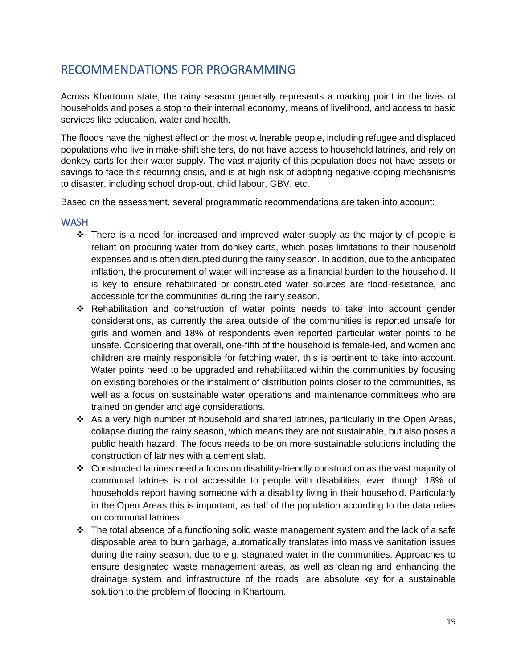# RECOMMENDATIONS FOR PROGRAMMING

Across Khartoum state, the rainy season generally represents a marking point in the lives of households and poses a stop to their internal economy, means of livelihood, and access to basic services like education, water and health.

The floods have the highest effect on the most vulnerable people, including refugee and displaced populations who live in make-shift shelters, do not have access to household latrines, and rely on donkey carts for their water supply. The vast majority of this population does not have assets or savings to face this recurring crisis, and is at high risk of adopting negative coping mechanisms to disaster, including school drop-out, child labour, GBV, etc.

Based on the assessment, several programmatic recommendations are taken into account:

### **WASH**

- $\div$  There is a need for increased and improved water supply as the majority of people is reliant on procuring water from donkey carts, which poses limitations to their household expenses and is often disrupted during the rainy season. In addition, due to the anticipated inflation, the procurement of water will increase as a financial burden to the household. It is key to ensure rehabilitated or constructed water sources are flood-resistance, and accessible for the communities during the rainy season.
- ❖ Rehabilitation and construction of water points needs to take into account gender considerations, as currently the area outside of the communities is reported unsafe for girls and women and 18% of respondents even reported particular water points to be unsafe. Considering that overall, one-fifth of the household is female-led, and women and children are mainly responsible for fetching water, this is pertinent to take into account. Water points need to be upgraded and rehabilitated within the communities by focusing on existing boreholes or the instalment of distribution points closer to the communities, as well as a focus on sustainable water operations and maintenance committees who are trained on gender and age considerations.
- ❖ As a very high number of household and shared latrines, particularly in the Open Areas, collapse during the rainy season, which means they are not sustainable, but also poses a public health hazard. The focus needs to be on more sustainable solutions including the construction of latrines with a cement slab.
- ❖ Constructed latrines need a focus on disability-friendly construction as the vast majority of communal latrines is not accessible to people with disabilities, even though 18% of households report having someone with a disability living in their household. Particularly in the Open Areas this is important, as half of the population according to the data relies on communal latrines.
- ❖ The total absence of a functioning solid waste management system and the lack of a safe disposable area to burn garbage, automatically translates into massive sanitation issues during the rainy season, due to e.g. stagnated water in the communities. Approaches to ensure designated waste management areas, as well as cleaning and enhancing the drainage system and infrastructure of the roads, are absolute key for a sustainable solution to the problem of flooding in Khartoum.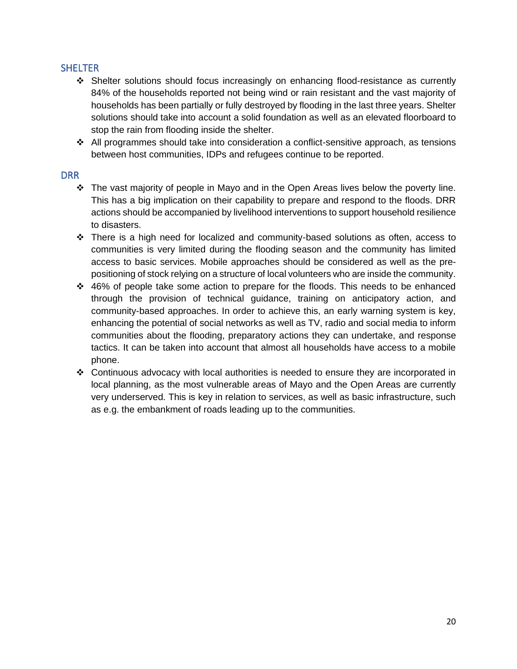# **SHELTER**

- ❖ Shelter solutions should focus increasingly on enhancing flood-resistance as currently 84% of the households reported not being wind or rain resistant and the vast majority of households has been partially or fully destroyed by flooding in the last three years. Shelter solutions should take into account a solid foundation as well as an elevated floorboard to stop the rain from flooding inside the shelter.
- ❖ All programmes should take into consideration a conflict-sensitive approach, as tensions between host communities, IDPs and refugees continue to be reported.

# DRR

- ❖ The vast majority of people in Mayo and in the Open Areas lives below the poverty line. This has a big implication on their capability to prepare and respond to the floods. DRR actions should be accompanied by livelihood interventions to support household resilience to disasters.
- ❖ There is a high need for localized and community-based solutions as often, access to communities is very limited during the flooding season and the community has limited access to basic services. Mobile approaches should be considered as well as the prepositioning of stock relying on a structure of local volunteers who are inside the community.
- ❖ 46% of people take some action to prepare for the floods. This needs to be enhanced through the provision of technical guidance, training on anticipatory action, and community-based approaches. In order to achieve this, an early warning system is key, enhancing the potential of social networks as well as TV, radio and social media to inform communities about the flooding, preparatory actions they can undertake, and response tactics. It can be taken into account that almost all households have access to a mobile phone.
- ❖ Continuous advocacy with local authorities is needed to ensure they are incorporated in local planning, as the most vulnerable areas of Mayo and the Open Areas are currently very underserved. This is key in relation to services, as well as basic infrastructure, such as e.g. the embankment of roads leading up to the communities.